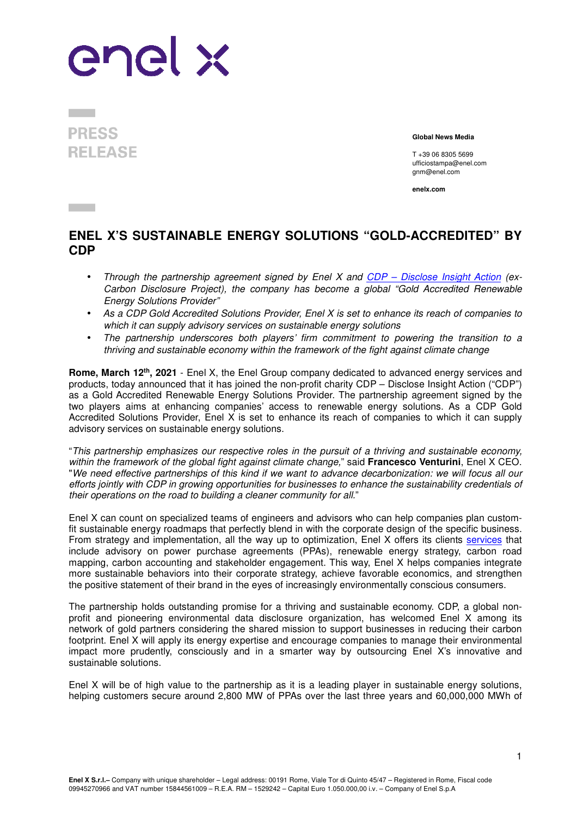## enel x

**PRESS RELEASE** 

**Global News Media**

T +39 06 8305 5699 ufficiostampa@enel.com gnm@enel.com

**enelx.com** 

## **ENEL X'S SUSTAINABLE ENERGY SOLUTIONS "GOLD-ACCREDITED" BY CDP**

- Through the partnership agreement signed by Enel X and CDP Disclose Insight Action (ex-Carbon Disclosure Project), the company has become a global "Gold Accredited Renewable Energy Solutions Provider"
- As a CDP Gold Accredited Solutions Provider, Enel X is set to enhance its reach of companies to which it can supply advisory services on sustainable energy solutions
- The partnership underscores both players' firm commitment to powering the transition to a thriving and sustainable economy within the framework of the fight against climate change

**Rome, March 12th, 2021** - Enel X, the Enel Group company dedicated to advanced energy services and products, today announced that it has joined the non-profit charity CDP – Disclose Insight Action ("CDP") as a Gold Accredited Renewable Energy Solutions Provider. The partnership agreement signed by the two players aims at enhancing companies' access to renewable energy solutions. As a CDP Gold Accredited Solutions Provider, Enel X is set to enhance its reach of companies to which it can supply advisory services on sustainable energy solutions.

"This partnership emphasizes our respective roles in the pursuit of a thriving and sustainable economy, within the framework of the global fight against climate change," said **Francesco Venturini**, Enel X CEO. "We need effective partnerships of this kind if we want to advance decarbonization: we will focus all our efforts jointly with CDP in growing opportunities for businesses to enhance the sustainability credentials of their operations on the road to building a cleaner community for all."

Enel X can count on specialized teams of engineers and advisors who can help companies plan customfit sustainable energy roadmaps that perfectly blend in with the corporate design of the specific business. From strategy and implementation, all the way up to optimization, Enel X offers its clients services that include advisory on power purchase agreements (PPAs), renewable energy strategy, carbon road mapping, carbon accounting and stakeholder engagement. This way, Enel X helps companies integrate more sustainable behaviors into their corporate strategy, achieve favorable economics, and strengthen the positive statement of their brand in the eyes of increasingly environmentally conscious consumers.

The partnership holds outstanding promise for a thriving and sustainable economy. CDP, a global nonprofit and pioneering environmental data disclosure organization, has welcomed Enel X among its network of gold partners considering the shared mission to support businesses in reducing their carbon footprint. Enel X will apply its energy expertise and encourage companies to manage their environmental impact more prudently, consciously and in a smarter way by outsourcing Enel X's innovative and sustainable solutions.

Enel X will be of high value to the partnership as it is a leading player in sustainable energy solutions, helping customers secure around 2,800 MW of PPAs over the last three years and 60,000,000 MWh of